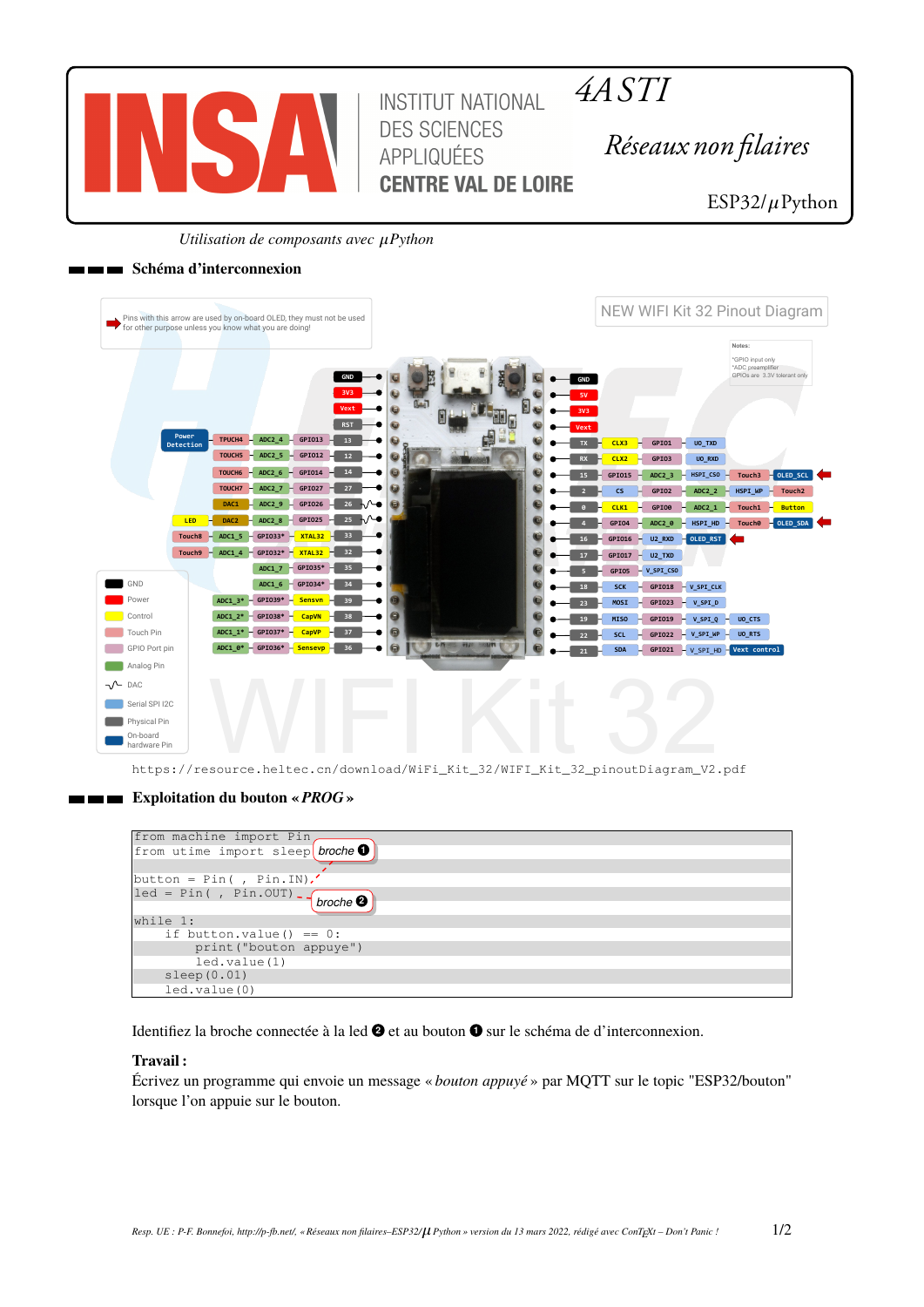

*4A STI*

*Réseaux non filaires*

ESP32/ $\mu$ Python

*Utilisation de composants avec*  $\mu$ *Python* 

# **Schéma d'interconnexion**

| Pins with this arrow are used by on-board OLED, they must not be used<br>for other purpose unless you know what you are doing!                                                                                                               | NEW WIFI Kit 32 Pinout Diagram                                                                                                                 |                                         |
|----------------------------------------------------------------------------------------------------------------------------------------------------------------------------------------------------------------------------------------------|------------------------------------------------------------------------------------------------------------------------------------------------|-----------------------------------------|
| GND<br>3V3<br>Vext                                                                                                                                                                                                                           | Notes:<br>*GPIO input only<br>*ADC preamplifier<br>GPIOs are 3.3V tolerant only<br><b>GND</b>                                                  |                                         |
| <b>RST</b><br>Power<br>TPUCH4<br>ADC2 $4 - 6P1013$<br>13 <sup>°</sup><br>Detection<br>$ADC2_5$<br>GPI012<br>TOUCH5<br>12                                                                                                                     | CLX3<br>GPI01<br>UO_TXD<br>н<br><b>TX</b><br>GPI03<br>CLX <sub>2</sub><br>UO_RXD<br><b>RX</b>                                                  |                                         |
| ADC2 6<br>GPI014<br>14<br>$\overline{\omega}$<br>TOUCH <sub>6</sub><br>0<br>ADC2_7<br>GPI027<br>27<br>TOUCH7<br>ADC2 9<br>GPI026<br>26<br>⊾∿⊷<br>DAC1<br>同                                                                                   | ADC2 <sub>3</sub><br>$HSPI_CSO$<br>Touch3<br>GPI015<br>GPI02<br>HSPI WP<br>$\mathsf{cs}$<br>ADC2 2<br>H.                                       | OLED_SCL<br>Touch <sub>2</sub>          |
| 25<br>⊾∧⊸<br>$-$ GPIO25<br><b>ADC2 8</b><br>LED <sub>1</sub><br>DAC <sub>2</sub><br>- GPI033* - XTAL32 - 33<br>Touch <sub>8</sub><br>ADC1 5                                                                                                  | GPI00<br>ADC2 1<br>Touch1<br>CLK1<br>H<br>HSPI HD<br>GPI04<br>ADC2_0<br><b>Touch0</b><br>GPI016<br>$U2$ <sub>_RXD</sub><br><b>DED_RST</b><br>H | <b>Button</b><br>$\sim$ OLED_SDA $\sim$ |
| $-$ GPI032* $-$ XTAL32 $-$ 32<br>Touch9<br>ADC1 4<br>$-$ GPIO35* $-$<br>35<br>ADC1 7                                                                                                                                                         | GPI017<br>$U2_TXD$<br>н<br>17<br>GPI05<br>$V$ _SPI_CSO                                                                                         |                                         |
| GND<br>$-$ GPI034* $-$<br>$ADC1_6$<br>34<br>$-$ GPI039* $-$<br>ADC1 $3*$<br>Sensvn -<br>39<br>Power                                                                                                                                          | GPIO18 - V_SPI_CLK<br><b>SCK</b><br>GPI023<br>MOSI<br>$-V$ _SPI_D<br>23                                                                        |                                         |
| $ADC1_2^* - GPI038^*$<br>a<br>Control<br><b>CapVN</b><br>38<br>6<br>$ADC1_1* - GPI037*$<br>Touch Pin<br>CapVP<br>37<br><b>U CAN STAR HOURS IN</b><br>$\Theta$<br>$ADC1_0* - GPI036*$<br>36<br>6<br>GPIO Port pin<br><mark>– Sensevp –</mark> | <b>MISO</b><br>GPI019<br>V_SPI_Q<br>UO_CTS<br>н.<br>SCL<br>$-V$ _SPI_WP<br>UO_RTS<br>GPI022<br>H.<br>22                                        |                                         |
| Analog Pin<br>$\neg \wedge$ DAC                                                                                                                                                                                                              | $GPIO21 - V SPI HD - Vext control$<br><b>SDA</b><br>21                                                                                         |                                         |
| Serial SPI I2C                                                                                                                                                                                                                               |                                                                                                                                                |                                         |
| Physical Pin<br>On-board                                                                                                                                                                                                                     |                                                                                                                                                |                                         |

https://resource.heltec.cn/download/WiFi\_Kit\_32/WIFI\_Kit\_32\_pinoutDiagram\_V2.pdf

# **Exploitation du bouton «** *PROG* **»**

| from machine import Pin,                                                     |
|------------------------------------------------------------------------------|
| from utime import sleep broche O                                             |
|                                                                              |
|                                                                              |
| $ $ button = Pin(, Pin.IN).                                                  |
| $\lceil \text{led} = \text{Pin}( , \text{Pin.OUT}) - \text{broche ②} \rceil$ |
|                                                                              |
| while 1:                                                                     |
| if button.value() == $0$ :                                                   |
| print ("bouton appuye")                                                      |
| led.value(1)                                                                 |
| sleep(0.01)                                                                  |
| led.value(0)                                                                 |

Identifiez la broche connectée à la led  $\bullet$  et au bouton  $\bullet$  sur le schéma de d'interconnexion.

## **Travail :**

Écrivez un programme qui envoie un message « *bouton appuyé* » par MQTT sur le topic "ESP32/bouton" lorsque l'on appuie sur le bouton.